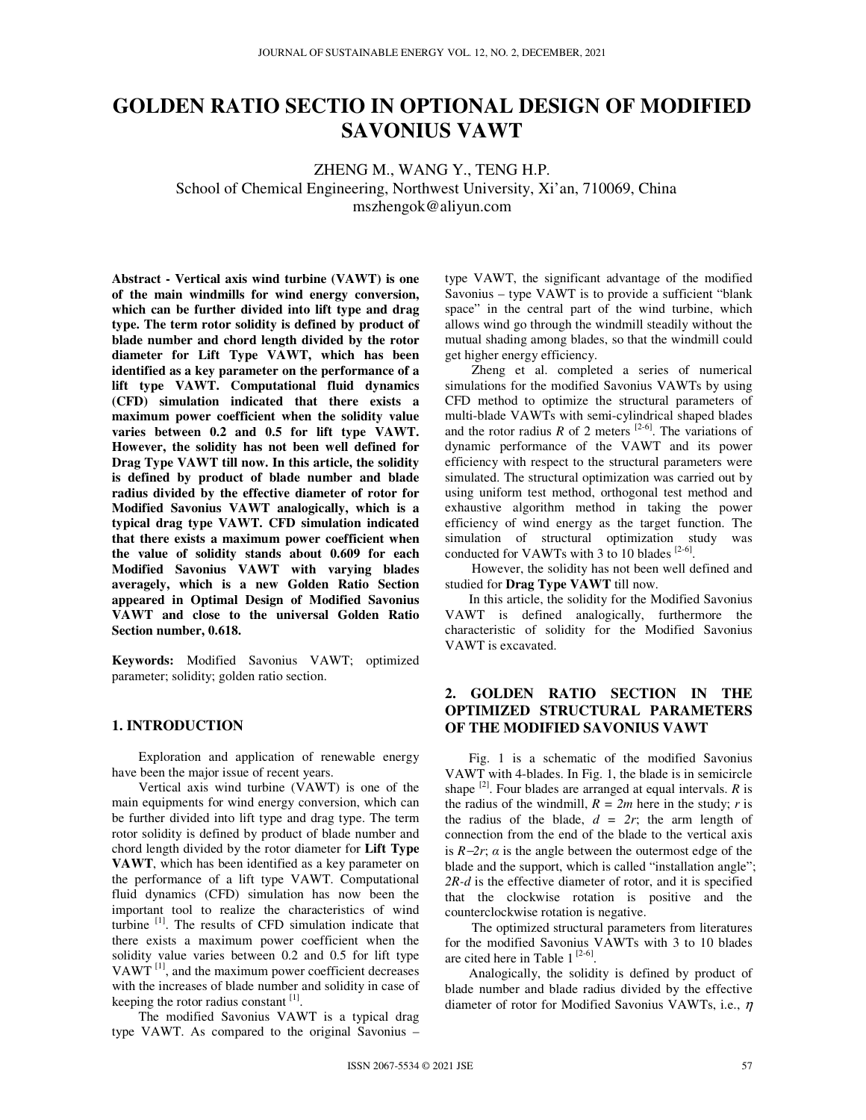# **GOLDEN RATIO SECTIO IN OPTIONAL DESIGN OF MODIFIED SAVONIUS VAWT**

ZHENG M., WANG Y., TENG H.P. School of Chemical Engineering, Northwest University, Xi'an, 710069, China mszhengok@aliyun.com

**Abstract - Vertical axis wind turbine (VAWT) is one of the main windmills for wind energy conversion, which can be further divided into lift type and drag type. The term rotor solidity is defined by product of blade number and chord length divided by the rotor diameter for Lift Type VAWT, which has been identified as a key parameter on the performance of a lift type VAWT. Computational fluid dynamics (CFD) simulation indicated that there exists a maximum power coefficient when the solidity value varies between 0.2 and 0.5 for lift type VAWT. However, the solidity has not been well defined for Drag Type VAWT till now. In this article, the solidity is defined by product of blade number and blade radius divided by the effective diameter of rotor for Modified Savonius VAWT analogically, which is a typical drag type VAWT. CFD simulation indicated that there exists a maximum power coefficient when the value of solidity stands about 0.609 for each Modified Savonius VAWT with varying blades averagely, which is a new Golden Ratio Section appeared in Optimal Design of Modified Savonius VAWT and close to the universal Golden Ratio Section number, 0.618.** 

**Keywords:** Modified Savonius VAWT; optimized parameter; solidity; golden ratio section.

## **1. INTRODUCTION**

Exploration and application of renewable energy have been the major issue of recent years.

Vertical axis wind turbine (VAWT) is one of the main equipments for wind energy conversion, which can be further divided into lift type and drag type. The term rotor solidity is defined by product of blade number and chord length divided by the rotor diameter for **Lift Type VAWT**, which has been identified as a key parameter on the performance of a lift type VAWT. Computational fluid dynamics (CFD) simulation has now been the important tool to realize the characteristics of wind turbine [1]. The results of CFD simulation indicate that there exists a maximum power coefficient when the solidity value varies between 0.2 and 0.5 for lift type VAWT<sup> $[1]$ </sup>, and the maximum power coefficient decreases with the increases of blade number and solidity in case of keeping the rotor radius constant  $[1]$ .

The modified Savonius VAWT is a typical drag type VAWT. As compared to the original Savonius –

type VAWT, the significant advantage of the modified Savonius – type VAWT is to provide a sufficient "blank space" in the central part of the wind turbine, which allows wind go through the windmill steadily without the mutual shading among blades, so that the windmill could get higher energy efficiency.

Zheng et al. completed a series of numerical simulations for the modified Savonius VAWTs by using CFD method to optimize the structural parameters of multi-blade VAWTs with semi-cylindrical shaped blades and the rotor radius  $R$  of 2 meters  $[2-6]$ . The variations of dynamic performance of the VAWT and its power efficiency with respect to the structural parameters were simulated. The structural optimization was carried out by using uniform test method, orthogonal test method and exhaustive algorithm method in taking the power efficiency of wind energy as the target function. The simulation of structural optimization study was conducted for VAWTs with 3 to 10 blades  $[2-6]$ .

However, the solidity has not been well defined and studied for **Drag Type VAWT** till now.

In this article, the solidity for the Modified Savonius VAWT is defined analogically, furthermore the characteristic of solidity for the Modified Savonius VAWT is excavated.

## **2. GOLDEN RATIO SECTION IN THE OPTIMIZED STRUCTURAL PARAMETERS OF THE MODIFIED SAVONIUS VAWT**

Fig. 1 is a schematic of the modified Savonius VAWT with 4-blades. In Fig. 1, the blade is in semicircle shape  $^{[2]}$ . Four blades are arranged at equal intervals. *R* is the radius of the windmill,  $R = 2m$  here in the study; *r* is the radius of the blade,  $d = 2r$ ; the arm length of connection from the end of the blade to the vertical axis is  $R-2r$ ;  $\alpha$  is the angle between the outermost edge of the blade and the support, which is called "installation angle"; *2R-d* is the effective diameter of rotor, and it is specified that the clockwise rotation is positive and the counterclockwise rotation is negative.

The optimized structural parameters from literatures for the modified Savonius VAWTs with 3 to 10 blades are cited here in Table  $1^{[2-6]}$ .

Analogically, the solidity is defined by product of blade number and blade radius divided by the effective diameter of rotor for Modified Savonius VAWTs, i.e., η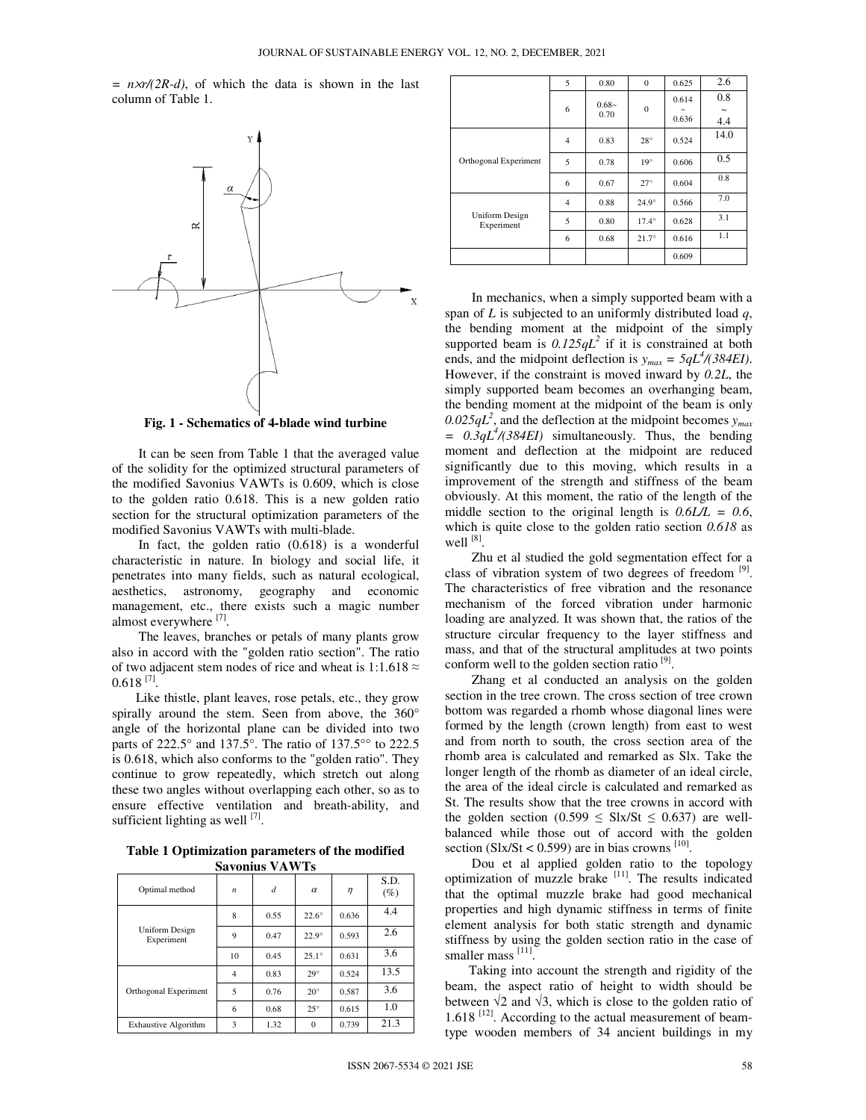*= n*×*r/(2R-d)*, of which the data is shown in the last column of Table 1.



**Fig. 1 - Schematics of 4-blade wind turbine** 

It can be seen from Table 1 that the averaged value of the solidity for the optimized structural parameters of the modified Savonius VAWTs is 0.609, which is close to the golden ratio 0.618. This is a new golden ratio section for the structural optimization parameters of the modified Savonius VAWTs with multi-blade.

In fact, the golden ratio (0.618) is a wonderful characteristic in nature. In biology and social life, it penetrates into many fields, such as natural ecological, aesthetics, astronomy, geography and economic management, etc., there exists such a magic number almost everywhere [7].

The leaves, branches or petals of many plants grow also in accord with the "golden ratio section". The ratio of two adjacent stem nodes of rice and wheat is 1:1.618  $\approx$  $0.618$ <sup>[7]</sup>.

Like thistle, plant leaves, rose petals, etc., they grow spirally around the stem. Seen from above, the 360° angle of the horizontal plane can be divided into two parts of 222.5° and 137.5°. The ratio of 137.5°° to 222.5 is 0.618, which also conforms to the "golden ratio". They continue to grow repeatedly, which stretch out along these two angles without overlapping each other, so as to ensure effective ventilation and breath-ability, and sufficient lighting as well  $^{[7]}$ .

**Table 1 Optimization parameters of the modified Savonius VAWTs** 

| рауушир үлүү 15                     |                  |      |              |        |                |  |  |  |  |
|-------------------------------------|------------------|------|--------------|--------|----------------|--|--|--|--|
| Optimal method                      | $\boldsymbol{n}$ | d    | $\alpha$     | $\eta$ | S.D.<br>$(\%)$ |  |  |  |  |
| <b>Uniform Design</b><br>Experiment | 8                | 0.55 | $22.6^\circ$ | 0.636  | 4.4            |  |  |  |  |
|                                     | 9                | 0.47 | $22.9^\circ$ | 0.593  | 2.6            |  |  |  |  |
|                                     | 10               | 0.45 | $25.1^\circ$ | 0.631  | 3.6            |  |  |  |  |
| Orthogonal Experiment               | 4                | 0.83 | $29^\circ$   | 0.524  | 13.5           |  |  |  |  |
|                                     | 5                | 0.76 | $20^\circ$   | 0.587  | 3.6            |  |  |  |  |
|                                     | 6                | 0.68 | $25^\circ$   | 0.615  | 1.0            |  |  |  |  |
| <b>Exhaustive Algorithm</b>         | 3                | 1.32 | $\Omega$     | 0.739  | 21.3           |  |  |  |  |

|                                     | 5              | 0.80            | $\mathbf{0}$ | 0.625                          | 2.6                              |
|-------------------------------------|----------------|-----------------|--------------|--------------------------------|----------------------------------|
|                                     |                | $0.68-$<br>0.70 | $\mathbf{0}$ | 0.614                          | 0.8                              |
|                                     | 6              |                 |              | $\tilde{\phantom{a}}$<br>0.636 | $\widetilde{\phantom{m}}$<br>4.4 |
| Orthogonal Experiment               | $\overline{4}$ | 0.83            | $28^{\circ}$ | 0.524                          | 14.0                             |
|                                     | 5              | 0.78            | $19^\circ$   | 0.606                          | 0.5                              |
|                                     | 6              | 0.67            | $27^\circ$   | 0.604                          | 0.8                              |
| <b>Uniform Design</b><br>Experiment | $\overline{4}$ | 0.88            | $24.9^\circ$ | 0.566                          | 7.0                              |
|                                     | 5              | 0.80            | $17.4^\circ$ | 0.628                          | 3.1                              |
|                                     | 6              | 0.68            | $21.7^\circ$ | 0.616                          | 1.1                              |
|                                     |                |                 |              | 0.609                          |                                  |

In mechanics, when a simply supported beam with a span of *L* is subjected to an uniformly distributed load *q*, the bending moment at the midpoint of the simply supported beam is  $0.125qL^2$  if it is constrained at both ends, and the midpoint deflection is  $y_{max} = 5qL^4/(384EI)$ . However, if the constraint is moved inward by *0.2L*, the simply supported beam becomes an overhanging beam, the bending moment at the midpoint of the beam is only  $0.025qL^2$ , and the deflection at the midpoint becomes  $y_{max}$ *= 0.3qL<sup>4</sup> /(384EI)* simultaneously. Thus, the bending moment and deflection at the midpoint are reduced significantly due to this moving, which results in a improvement of the strength and stiffness of the beam obviously. At this moment, the ratio of the length of the middle section to the original length is *0.6L/L = 0.6*, which is quite close to the golden ratio section *0.618* as well  $^{[8]}$ .

Zhu et al studied the gold segmentation effect for a class of vibration system of two degrees of freedom<sup>[9]</sup>. The characteristics of free vibration and the resonance mechanism of the forced vibration under harmonic loading are analyzed. It was shown that, the ratios of the structure circular frequency to the layer stiffness and mass, and that of the structural amplitudes at two points conform well to the golden section ratio<sup>[9]</sup>.

Zhang et al conducted an analysis on the golden section in the tree crown. The cross section of tree crown bottom was regarded a rhomb whose diagonal lines were formed by the length (crown length) from east to west and from north to south, the cross section area of the rhomb area is calculated and remarked as Slx. Take the longer length of the rhomb as diameter of an ideal circle, the area of the ideal circle is calculated and remarked as St. The results show that the tree crowns in accord with the golden section (0.599  $\leq$  Slx/St  $\leq$  0.637) are wellbalanced while those out of accord with the golden section (Slx/St < 0.599) are in bias crowns  $^{[10]}$ .

Dou et al applied golden ratio to the topology optimization of muzzle brake [11]. The results indicated that the optimal muzzle brake had good mechanical properties and high dynamic stiffness in terms of finite element analysis for both static strength and dynamic stiffness by using the golden section ratio in the case of smaller mass [11].

Taking into account the strength and rigidity of the beam, the aspect ratio of height to width should be between  $\sqrt{2}$  and  $\sqrt{3}$ , which is close to the golden ratio of  $1.618$ <sup>[12]</sup>. According to the actual measurement of beamtype wooden members of 34 ancient buildings in my